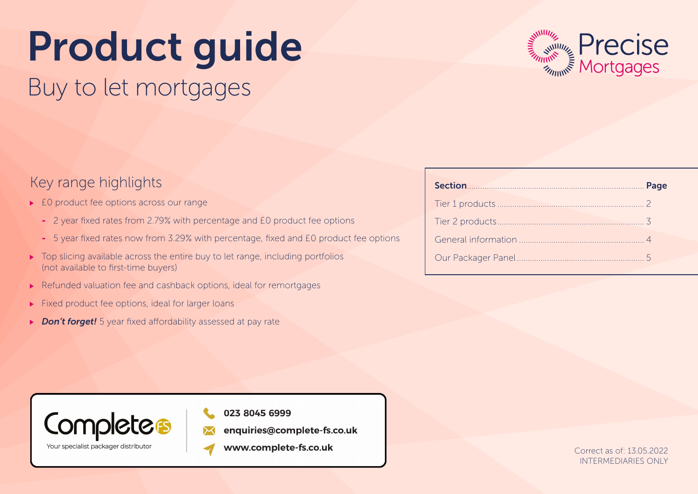# Product guide

## Buy to let mortgages



### Key range highlights

- ▶ E0 product fee options across our range
	- 2 year fixed rates from 2.79% with percentage and £0 product fee options
	- 5 year fixed rates now from 3.29% with percentage, fixed and £0 product fee options
- $\triangleright$  Top slicing available across the entire buy to let range, including portfolios (not available to first-time buyers)
- ▶ Refunded valuation fee and cashback options, ideal for remortgages
- $\blacktriangleright$  Fixed product fee options, ideal for larger loans
- ▶ **Don't forget!** 5 year fixed affordability assessed at pay rate

| Section Page |  |
|--------------|--|
|              |  |
|              |  |
|              |  |
|              |  |



023 8045 6999

- enquiries@complete-fs.co.uk
- www.complete-fs.co.uk

Correct as of: 13.05.2022 INTERMEDIARIES ONLY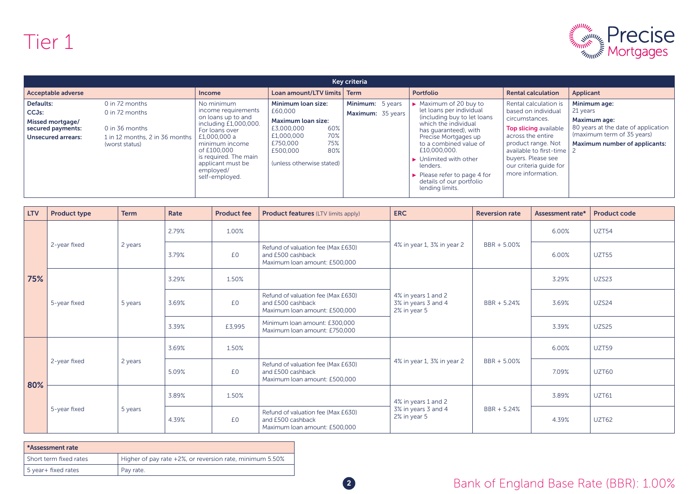

| Key criteria                                                                                          |                                                                                                        |                                                                                                                                                                                                                                  |                                                                                                                                                                         |                                       |                                                                                                                                                                                                                                                                                                                                                                                  |                                                                                                                                                                                                                                             |                                                                                                                                                              |  |
|-------------------------------------------------------------------------------------------------------|--------------------------------------------------------------------------------------------------------|----------------------------------------------------------------------------------------------------------------------------------------------------------------------------------------------------------------------------------|-------------------------------------------------------------------------------------------------------------------------------------------------------------------------|---------------------------------------|----------------------------------------------------------------------------------------------------------------------------------------------------------------------------------------------------------------------------------------------------------------------------------------------------------------------------------------------------------------------------------|---------------------------------------------------------------------------------------------------------------------------------------------------------------------------------------------------------------------------------------------|--------------------------------------------------------------------------------------------------------------------------------------------------------------|--|
| <b>Acceptable adverse</b>                                                                             |                                                                                                        | <b>Income</b>                                                                                                                                                                                                                    | Loan amount/LTV limits                                                                                                                                                  | <b>Term</b>                           | Portfolio                                                                                                                                                                                                                                                                                                                                                                        | <b>Rental calculation</b>                                                                                                                                                                                                                   | Applicant                                                                                                                                                    |  |
| Defaults:<br>CCJ <sub>s</sub> :<br>Missed mortgage/<br>secured payments:<br><b>Unsecured arrears:</b> | 0 in 72 months<br>0 in 72 months<br>0 in 36 months<br>1 in 12 months, 2 in 36 months<br>(worst status) | No minimum<br>income requirements<br>on loans up to and<br>including £1,000,000.<br>For loans over<br>£1,000,000 a<br>minimum income<br>of £100,000<br>is required. The main<br>applicant must be<br>employed/<br>self-employed. | Minimum loan size:<br>£60,000<br><b>Maximum loan size:</b><br>60%<br>£3,000,000<br>70%<br>£1,000,000<br>75%<br>£750,000<br>80%<br>£500,000<br>(unless otherwise stated) | Minimum: 5 years<br>Maximum: 35 years | $\triangleright$ Maximum of 20 buy to<br>let loans per individual<br>(including buy to let loans<br>which the individual<br>has quaranteed), with<br>Precise Mortgages up<br>to a combined value of<br>£10,000,000.<br>$\blacktriangleright$ Unlimited with other<br>lenders.<br>$\blacktriangleright$ Please refer to page 4 for<br>details of our portfolio<br>lending limits. | Rental calculation is<br>based on individual<br>circumstances.<br><b>Top slicing available</b><br>across the entire<br>product range. Not<br>available to first-time 2<br>buyers. Please see<br>our criteria quide for<br>more information. | Minimum age:<br>21 years<br><b>Maximum age:</b><br>80 years at the date of application<br>(maximum term of 35 years)<br><b>Maximum number of applicants:</b> |  |

| <b>LTV</b> | <b>Product type</b> | <b>Term</b> | Rate  | <b>Product fee</b> | <b>Product features (LTV limits apply)</b>                                               | <b>ERC</b>                                                 | <b>Reversion rate</b> | Assessment rate* | <b>Product code</b> |
|------------|---------------------|-------------|-------|--------------------|------------------------------------------------------------------------------------------|------------------------------------------------------------|-----------------------|------------------|---------------------|
|            | 2-year fixed        | 2 years     | 2.79% | 1.00%              |                                                                                          | 4% in year 1, 3% in year 2                                 | BBR + 5.00%           | 6.00%            | UZT54               |
|            |                     |             | 3.79% | £0                 | Refund of valuation fee (Max £630)<br>and £500 cashback<br>Maximum Ioan amount: £500,000 |                                                            |                       | 6.00%            | <b>UZT55</b>        |
| 75%        | 5-year fixed        |             | 3.29% | 1.50%              |                                                                                          | 4% in years 1 and 2<br>3% in years 3 and 4<br>2% in year 5 |                       | 3.29%            | UZS23               |
|            |                     | 5 years     | 3.69% | £0                 | Refund of valuation fee (Max £630)<br>and £500 cashback<br>Maximum loan amount: £500,000 |                                                            | BBR + 5.24%           | 3.69%            | UZS24               |
|            |                     |             | 3.39% | £3,995             | Minimum loan amount: £300,000<br>Maximum Ioan amount: £750,000                           |                                                            |                       | 3.39%            | UZS25               |
|            | 2-year fixed        | 2 years     | 3.69% | 1.50%              |                                                                                          | 4% in year 1, 3% in year 2                                 | BBR + 5.00%           | 6.00%            | UZT59               |
| 80%        |                     |             | 5.09% | £0                 | Refund of valuation fee (Max £630)<br>and £500 cashback<br>Maximum Ioan amount: £500,000 |                                                            |                       | 7.09%            | UZT60               |
|            | 5-year fixed        | 5 years     | 3.89% | 1.50%              |                                                                                          | 4% in years 1 and 2<br>3% in years 3 and 4<br>2% in year 5 | BBR + 5.24%           | 3.89%            | <b>UZT61</b>        |
|            |                     |             | 4.39% | £0                 | Refund of valuation fee (Max £630)<br>and £500 cashback<br>Maximum loan amount: £500,000 |                                                            |                       | 4.39%            | <b>UZT62</b>        |

| *Assessment rate       |                                                          |
|------------------------|----------------------------------------------------------|
| Short term fixed rates | Higher of pay rate +2%, or reversion rate, minimum 5.50% |
| 5 year+ fixed rates    | Pay rate.                                                |

**2** Bank of England Base Rate (BBR): 1.00%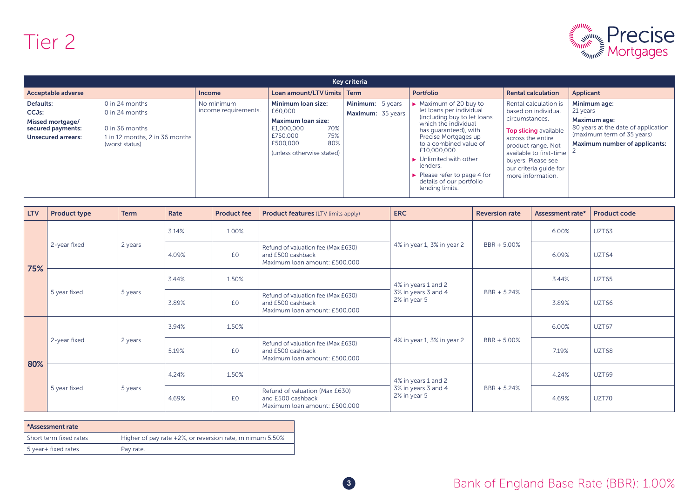

| Key criteria                                                                                          |                                                                                                          |                                    |                                                                                                                                                    |                                       |                                                                                                                                                                                                                                                                                                                                                                                  |                                                                                                                                                                                                                                    |                                                                                                                                                       |  |
|-------------------------------------------------------------------------------------------------------|----------------------------------------------------------------------------------------------------------|------------------------------------|----------------------------------------------------------------------------------------------------------------------------------------------------|---------------------------------------|----------------------------------------------------------------------------------------------------------------------------------------------------------------------------------------------------------------------------------------------------------------------------------------------------------------------------------------------------------------------------------|------------------------------------------------------------------------------------------------------------------------------------------------------------------------------------------------------------------------------------|-------------------------------------------------------------------------------------------------------------------------------------------------------|--|
| <b>Acceptable adverse</b>                                                                             |                                                                                                          | <b>Income</b>                      | Loan amount/LTV limits   Term                                                                                                                      |                                       | <b>Portfolio</b>                                                                                                                                                                                                                                                                                                                                                                 | <b>Rental calculation</b>                                                                                                                                                                                                          | Applicant                                                                                                                                             |  |
| Defaults:<br>CCJ <sub>s</sub> :<br>Missed mortgage/<br>secured payments:<br><b>Unsecured arrears:</b> | 0 in 24 months<br>$0$ in 24 months<br>0 in 36 months<br>1 in 12 months, 2 in 36 months<br>(worst status) | No minimum<br>income requirements. | Minimum loan size:<br>£60,000<br><b>Maximum loan size:</b><br>70%<br>£1,000,000<br>75%<br>£750,000<br>80%<br>£500,000<br>(unless otherwise stated) | Minimum: 5 years<br>Maximum: 35 years | $\triangleright$ Maximum of 20 buy to<br>let loans per individual<br>(including buy to let loans<br>which the individual<br>has quaranteed), with<br>Precise Mortgages up<br>to a combined value of<br>£10,000,000.<br>$\blacktriangleright$ Unlimited with other<br>lenders.<br>$\blacktriangleright$ Please refer to page 4 for<br>details of our portfolio<br>lending limits. | Rental calculation is<br>based on individual<br>circumstances.<br>Top slicing available<br>across the entire<br>product range. Not<br>available to first-time<br>buyers. Please see<br>our criteria quide for<br>more information. | Minimum age:<br>21 years<br>Maximum age:<br>80 years at the date of application<br>(maximum term of 35 years)<br><b>Maximum number of applicants:</b> |  |

| <b>LTV</b> | <b>Product type</b> | <b>Term</b>               | Rate  | <b>Product fee</b> | <b>Product features (LTV limits apply)</b>                                               | <b>ERC</b>                                                 | <b>Reversion rate</b> | Assessment rate* | <b>Product code</b> |
|------------|---------------------|---------------------------|-------|--------------------|------------------------------------------------------------------------------------------|------------------------------------------------------------|-----------------------|------------------|---------------------|
| 75%        | 2-year fixed        |                           | 3.14% | 1.00%              |                                                                                          |                                                            | BBR + 5.00%           | 6.00%            | UZT63               |
|            |                     | 2 years                   | 4.09% | £0                 | Refund of valuation fee (Max £630)<br>and £500 cashback<br>Maximum loan amount: £500,000 | 4% in year 1, 3% in year 2                                 |                       | 6.09%            | UZT64               |
|            | 5 year fixed        |                           | 3.44% | 1.50%              |                                                                                          | 4% in years 1 and 2<br>3% in years 3 and 4<br>2% in year 5 | $BBR + 5.24%$         | 3.44%            | UZT65               |
|            |                     | 5 years                   | 3.89% | £0                 | Refund of valuation fee (Max £630)<br>and £500 cashback<br>Maximum loan amount: £500,000 |                                                            |                       | 3.89%            | UZT66               |
| 80%        | 2-year fixed        | 3.94%<br>2 years<br>5.19% |       | 1.50%              |                                                                                          | 4% in year 1, 3% in year 2                                 | BBR + 5.00%           | 6.00%            | UZT67               |
|            |                     |                           |       | £0                 | Refund of valuation fee (Max £630)<br>and £500 cashback<br>Maximum loan amount: £500,000 |                                                            |                       | 7.19%            | UZT68               |
|            | 5 year fixed        | 5 years                   | 4.24% | 1.50%              |                                                                                          | 4% in years 1 and 2<br>3% in years 3 and 4<br>2% in year 5 | BBR + 5.24%           | 4.24%            | UZT69               |
|            |                     |                           | 4.69% | £0                 | Refund of valuation (Max £630)<br>and £500 cashback<br>Maximum loan amount: £500,000     |                                                            |                       | 4.69%            | UZT70               |

| *Assessment rate       |                                                          |
|------------------------|----------------------------------------------------------|
| Short term fixed rates | Higher of pay rate +2%, or reversion rate, minimum 5.50% |
| 5 year+ fixed rates    | Pay rate.                                                |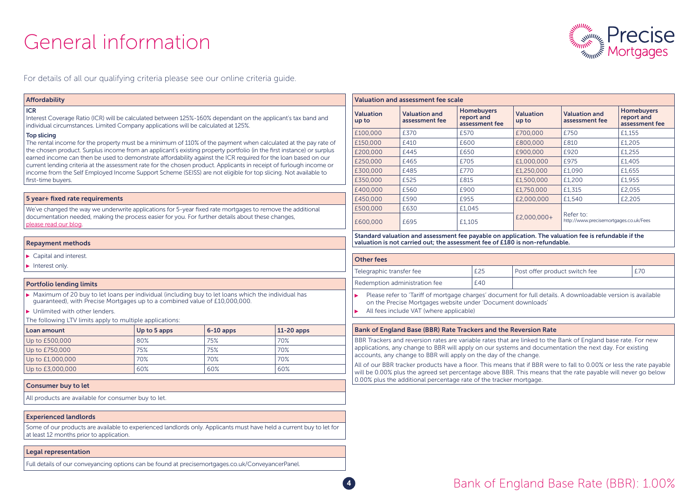## General information



For details of all our qualifying criteria please see our online criteria guide.

#### Affordability ICR Valuation Interest Coverage Ratio (ICR) will be calculated between 125%-160% dependant on the applicant's tax band and up to individual circumstances. Limited Company applications will be calculated at 125%. Top slicing The rental income for the property must be a minimum of 110% of the payment when calculated at the pay rate of the chosen product. Surplus income from an applicant's existing property portfolio (in the first instance) or surplus earned income can then be used to demonstrate affordability against the ICR required for the loan based on our current lending criteria at the assessment rate for the chosen product. Applicants in receipt of furlough income or income from the Self Employed Income Support Scheme (SEISS) are not eligible for top slicing. Not available to first-time buyers. 5 year+ fixed rate requirements We've changed the way we underwrite applications for 5-year fixed rate mortgages to remove the additional documentation needed, making the process easier for you. For further details about these changes, please read our blog. Repayment methods Capital and interest Other fees Interest only. Portfolio lending limits  $\blacktriangleright$  Maximum of 20 buy to let loans per individual (including buy to let loans which the individual has К guaranteed), with Precise Mortgages up to a combined value of £10,000,000. ▶ Unlimited with other lenders. The following LTV limits apply to multiple applications: Loan amount  $|Up|$  to 5 apps  $|6-10|$  apps  $|11-20|$  apps Up to £500,000 80% 80% 75% 70% 70% Up to £750,000 75% 70% 75% 70% Up to £1,000,000 70% 70% 70% 70% 70% 70% Up to £3,000,000 60% 60% 60% 60% 60% 60% 60% Consumer buy to let All products are available for consumer buy to let. Experienced landlords Some of our products are available to experienced landlords only. Applicants must have held a current buy to let for at least 12 months prior to application. Legal representation Full details of our conveyancing options can be found at precisemortgages.co.uk/ConveyancerPanel.

| Valuation and assessment fee scale |                                        |                                                                                                                          |             |                                                     |        |  |  |
|------------------------------------|----------------------------------------|--------------------------------------------------------------------------------------------------------------------------|-------------|-----------------------------------------------------|--------|--|--|
| <b>Valuation</b><br>up to          | <b>Valuation and</b><br>assessment fee | <b>Homebuyers</b><br><b>Valuation</b><br><b>Valuation and</b><br>report and<br>assessment fee<br>up to<br>assessment fee |             | <b>Homebuyers</b><br>report and<br>assessment fee   |        |  |  |
| £100,000                           | £370                                   | £570                                                                                                                     | £700,000    | £750                                                | £1,155 |  |  |
| £150,000                           | £410                                   | £600                                                                                                                     | £800,000    | £810                                                | £1,205 |  |  |
| £200,000                           | £445                                   | £650                                                                                                                     | £900,000    | £920                                                | £1,255 |  |  |
| £250,000                           | £465                                   | £705                                                                                                                     | £1,000,000  | £975                                                | £1,405 |  |  |
| £300,000                           | £485                                   | £770                                                                                                                     | £1,250,000  | £1,090                                              | £1,655 |  |  |
| £350,000                           | £525                                   | £815                                                                                                                     | £1,500,000  | £1,200                                              | £1,955 |  |  |
| £400,000                           | £560                                   | £900                                                                                                                     | £1,750,000  | £1,315                                              | £2,055 |  |  |
| £450,000                           | £590                                   | £955                                                                                                                     | £2,000,000  | £1,540                                              | £2,205 |  |  |
| £500,000                           | £630                                   | £1,045                                                                                                                   |             |                                                     |        |  |  |
| £600,000                           | £695                                   | £1,105                                                                                                                   | £2,000,000+ | Refer to:<br>http://www.precisemortgages.co.uk/Fees |        |  |  |

Standard valuation and assessment fee payable on application. The valuation fee is refundable if the valuation is not carried out; the assessment fee of £180 is non-refundable.

| Telegraphic transfer fee      | £25 | I Post offer product switch fee |  |
|-------------------------------|-----|---------------------------------|--|
| Redemption administration fee | £40 |                                 |  |

Please refer to 'Tariff of mortgage charges' document for full details. A downloadable version is available on the Precise Mortgages website under 'Document downloads'

All fees include VAT (where applicable)

#### Bank of England Base (BBR) Rate Trackers and the Reversion Rate

BBR Trackers and reversion rates are variable rates that are linked to the Bank of England base rate. For new applications, any change to BBR will apply on our systems and documentation the next day. For existing accounts, any change to BBR will apply on the day of the change.

All of our BBR tracker products have a floor. This means that if BBR were to fall to 0.00% or less the rate payable will be 0.00% plus the agreed set percentage above BBR. This means that the rate payable will never go below 0.00% plus the additional percentage rate of the tracker mortgage.

#### **4** Bank of England Base Rate (BBR): 1.00%